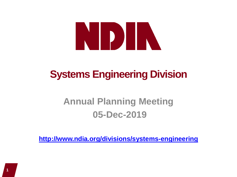# NDIN

# **Systems Engineering Division**

## **Annual Planning Meeting 05-Dec-2019**

**<http://www.ndia.org/divisions/systems-engineering>**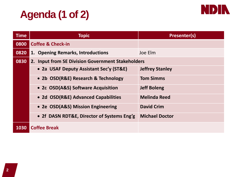# **Agenda (1 of 2)**



| <b>Time</b> | <b>Topic</b>                                      | <b>Presenter(s)</b>    |
|-------------|---------------------------------------------------|------------------------|
| 0800        | <b>Coffee &amp; Check-in</b>                      |                        |
| 0820        | 1. Opening Remarks, Introductions                 | Joe Elm                |
| 0830        | 2. Input from SE Division Government Stakeholders |                        |
|             | • 2a USAF Deputy Assistant Sec'y (ST&E)           | <b>Jeffrey Stanley</b> |
|             | • 2b OSD(R&E) Research & Technology               | <b>Tom Simms</b>       |
|             | • 2c OSD(A&S) Software Acquisition                | <b>Jeff Boleng</b>     |
|             | • 2d OSD(R&E) Advanced Capabilities               | <b>Melinda Reed</b>    |
|             | • 2e OSD(A&S) Mission Engineering                 | <b>David Crim</b>      |
|             | • 2f DASN RDT&E, Director of Systems Eng'g        | <b>Michael Doctor</b>  |
| 1030        | <b>Coffee Break</b>                               |                        |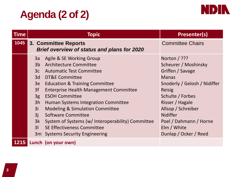## **Agenda (2 of 2)**



| <b>Time</b> | <b>Topic</b>                                                                                       |                                                                                                                                                                                                                                                                                                                                                                                                                                                                                   | Presenter(s)                                                                                                                                                                                                                                                                |
|-------------|----------------------------------------------------------------------------------------------------|-----------------------------------------------------------------------------------------------------------------------------------------------------------------------------------------------------------------------------------------------------------------------------------------------------------------------------------------------------------------------------------------------------------------------------------------------------------------------------------|-----------------------------------------------------------------------------------------------------------------------------------------------------------------------------------------------------------------------------------------------------------------------------|
| 1045        | 3. Committee Reports<br><b>Brief overview of status and plans for 2020</b>                         |                                                                                                                                                                                                                                                                                                                                                                                                                                                                                   | <b>Committee Chairs</b>                                                                                                                                                                                                                                                     |
|             | 3a<br>3 <sub>b</sub><br>3c<br>3d<br>3e<br>3f<br>3g<br>3h<br>3i<br>3j<br>3k<br>3 <sup>1</sup><br>3m | Agile & SE Working Group<br>Architecture Committee<br><b>Automatic Test Committee</b><br>DT&E Committee<br><b>Education &amp; Training Committee</b><br><b>Enterprise Health Management Committee</b><br><b>ESOH Committee</b><br>Human Systems Integration Committee<br><b>Modeling &amp; Simulation Committee</b><br><b>Software Committee</b><br>System of Systems (w/ Interoperability) Committee<br><b>SE Effectiveness Committee</b><br><b>Systems Security Engineering</b> | Norton / ???<br>Scheurer / Moshinsky<br>Griffen / Savage<br><b>Manas</b><br>Snoderly / Gelosh / Nidiffer<br><b>Reisig</b><br>Schulte / Forbes<br>Risser / Hagale<br>Allsop / Schreiber<br><b>Nidiffer</b><br>Poel / Dahmann / Horne<br>Elm / White<br>Dunlap / Ocker / Reed |
|             |                                                                                                    | 1215 Lunch (on your own)                                                                                                                                                                                                                                                                                                                                                                                                                                                          |                                                                                                                                                                                                                                                                             |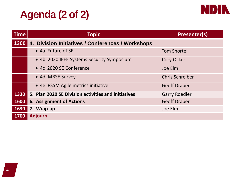## **Agenda (2 of 2)**



| <b>Time</b> | <b>Topic</b>                                        | Presenter(s)           |
|-------------|-----------------------------------------------------|------------------------|
| 1300        | 4. Division Initiatives / Conferences / Workshops   |                        |
|             | • 4a Future of SE                                   | <b>Tom Shortell</b>    |
|             | • 4b 2020 IEEE Systems Security Symposium           | <b>Cory Ocker</b>      |
|             | • 4c 2020 SE Conference                             | Joe Elm                |
|             | • 4d MBSE Survey                                    | <b>Chris Schreiber</b> |
|             | • 4e PSSM Agile metrics initiative                  | <b>Geoff Draper</b>    |
| 1330        | 5. Plan 2020 SE Division activities and initiatives | <b>Garry Roedler</b>   |
| 1600        | <b>6. Assignment of Actions</b>                     | <b>Geoff Draper</b>    |
| 1630        | 7. Wrap-up                                          | Joe Elm                |
| 1700        | <b>Adjourn</b>                                      |                        |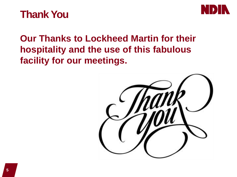



## **Our Thanks to Lockheed Martin for their hospitality and the use of this fabulous facility for our meetings.**

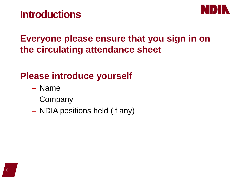## **Introductions**



## **Everyone please ensure that you sign in on the circulating attendance sheet**

## **Please introduce yourself**

- Name
- Company
- NDIA positions held (if any)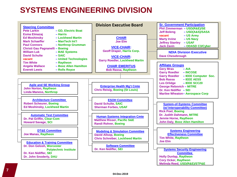#### **SYSTEMS ENGINEERING DIVISION**

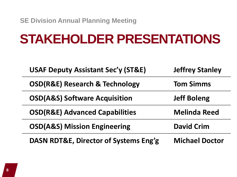# **STAKEHOLDER PRESENTATIONS**

| <b>USAF Deputy Assistant Sec'y (ST&amp;E)</b><br><b>Jeffrey Stanley</b> |                       |
|-------------------------------------------------------------------------|-----------------------|
| <b>OSD(R&amp;E) Research &amp; Technology</b>                           | <b>Tom Simms</b>      |
| <b>OSD(A&amp;S) Software Acquisition</b>                                | <b>Jeff Boleng</b>    |
| <b>OSD(R&amp;E) Advanced Capabilities</b>                               | <b>Melinda Reed</b>   |
| <b>OSD(A&amp;S) Mission Engineering</b>                                 | <b>David Crim</b>     |
| <b>DASN RDT&amp;E, Director of Systems Eng'g</b>                        | <b>Michael Doctor</b> |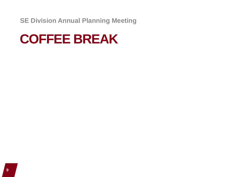# **COFFEE BREAK**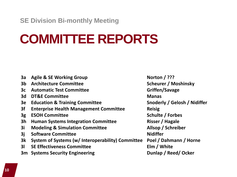**SE Division Bi-monthly Meeting**

# **COMMITTEE REPORTS**

| 3a             | <b>Agile &amp; SE Working Group</b>               | Norton $/$ ???               |
|----------------|---------------------------------------------------|------------------------------|
| 3 <sub>b</sub> | <b>Architecture Committee</b>                     | <b>Scheurer / Moshinsky</b>  |
| 3c             | <b>Automatic Test Committee</b>                   | Griffen/Savage               |
| 3d             | <b>DT&amp;E Committee</b>                         | <b>Manas</b>                 |
| 3e             | <b>Education &amp; Training Committee</b>         | Snoderly / Gelosh / Nidiffer |
| 3f             | <b>Enterprise Health Management Committee</b>     | <b>Reisig</b>                |
| 3g             | <b>ESOH Committee</b>                             | Schulte / Forbes             |
| 3 <sub>h</sub> | <b>Human Systems Integration Committee</b>        | <b>Risser / Hagale</b>       |
| 3i             | <b>Modeling &amp; Simulation Committee</b>        | Allsop / Schreiber           |
| 3j             | <b>Software Committee</b>                         | <b>Nidiffer</b>              |
| 3k             | System of Systems (w/ Interoperability) Committee | Poel / Dahmann / Horne       |
| 3 <sup>l</sup> | <b>SE Effectiveness Committee</b>                 | Elm / White                  |
| 3m             | <b>Systems Security Engineering</b>               | Dunlap / Reed/ Ocker         |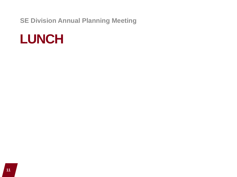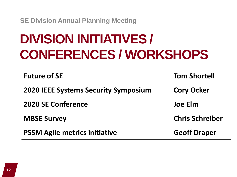# **DIVISION INITIATIVES / CONFERENCES / WORKSHOPS**

| <b>Future of SE</b>                         | <b>Tom Shortell</b>    |  |
|---------------------------------------------|------------------------|--|
| <b>2020 IEEE Systems Security Symposium</b> | <b>Cory Ocker</b>      |  |
| <b>2020 SE Conference</b>                   | Joe Elm                |  |
| <b>MBSE Survey</b>                          | <b>Chris Schreiber</b> |  |
| <b>PSSM Agile metrics initiative</b>        | <b>Geoff Draper</b>    |  |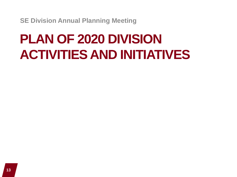# **PLAN OF 2020 DIVISION ACTIVITIES AND INITIATIVES**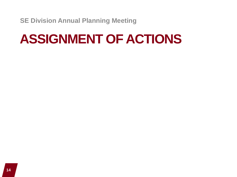# **ASSIGNMENT OF ACTIONS**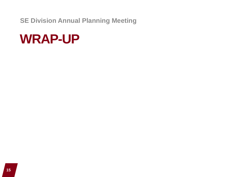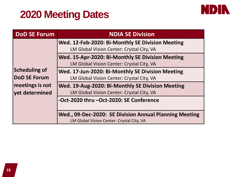## **2020 Meeting Dates**



| <b>DoD SE Forum</b>  | <b>NDIA SE Division</b>                                                                             |
|----------------------|-----------------------------------------------------------------------------------------------------|
|                      | Wed. 12-Feb-2020: Bi-Monthly SE Division Meeting                                                    |
|                      | LM Global Vision Center: Crystal City, VA                                                           |
|                      | Wed. 15-Apr-2020: Bi-Monthly SE Division Meeting                                                    |
|                      | LM Global Vision Center: Crystal City, VA                                                           |
| <b>Scheduling of</b> | Wed. 17-Jun-2020: Bi-Monthly SE Division Meeting                                                    |
| <b>DoD SE Forum</b>  | LM Global Vision Center: Crystal City, VA                                                           |
| meetings is not      | Wed. 19-Aug-2020: Bi-Monthly SE Division Meeting                                                    |
| yet determined       | LM Global Vision Center: Crystal City, VA                                                           |
|                      | -Oct-2020 thru -Oct-2020: SE Conference                                                             |
|                      | Wed., 09-Dec-2020: SE Division Annual Planning Meeting<br>LM Global Vision Center: Crystal City, VA |